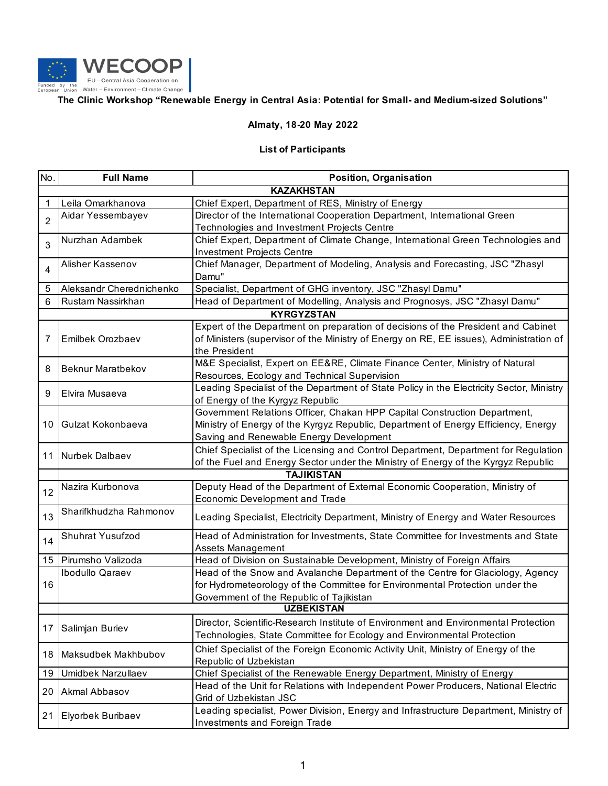

## **The Clinic Workshop "Renewable Energy in Central Asia: Potential for Small- and Medium-sized Solutions"**

## **Almaty, 18-20 May 2022**

## **List of Participants**

| No.               | <b>Full Name</b>         | Position, Organisation                                                                   |  |
|-------------------|--------------------------|------------------------------------------------------------------------------------------|--|
| <b>KAZAKHSTAN</b> |                          |                                                                                          |  |
| 1                 | Leila Omarkhanova        | Chief Expert, Department of RES, Ministry of Energy                                      |  |
| $\overline{2}$    | Aidar Yessembayev        | Director of the International Cooperation Department, International Green                |  |
|                   |                          | Technologies and Investment Projects Centre                                              |  |
| 3                 | Nurzhan Adambek          | Chief Expert, Department of Climate Change, International Green Technologies and         |  |
|                   |                          | <b>Investment Projects Centre</b>                                                        |  |
| 4                 | Alisher Kassenov         | Chief Manager, Department of Modeling, Analysis and Forecasting, JSC "Zhasyl             |  |
|                   |                          | Damu"                                                                                    |  |
| 5                 | Aleksandr Cherednichenko | Specialist, Department of GHG inventory, JSC "Zhasyl Damu"                               |  |
| 6                 | Rustam Nassirkhan        | Head of Department of Modelling, Analysis and Prognosys, JSC "Zhasyl Damu"               |  |
| <b>KYRGYZSTAN</b> |                          |                                                                                          |  |
|                   | Emilbek Orozbaev         | Expert of the Department on preparation of decisions of the President and Cabinet        |  |
| 7                 |                          | of Ministers (supervisor of the Ministry of Energy on RE, EE issues), Administration of  |  |
|                   |                          | the President                                                                            |  |
| 8                 | <b>Beknur Maratbekov</b> | M&E Specialist, Expert on EE&RE, Climate Finance Center, Ministry of Natural             |  |
|                   |                          | Resources, Ecology and Technical Supervision                                             |  |
| 9                 | Elvira Musaeva           | Leading Specialist of the Department of State Policy in the Electricity Sector, Ministry |  |
|                   |                          | of Energy of the Kyrgyz Republic                                                         |  |
|                   | Gulzat Kokonbaeva        | Government Relations Officer, Chakan HPP Capital Construction Department,                |  |
| 10                |                          | Ministry of Energy of the Kyrgyz Republic, Department of Energy Efficiency, Energy       |  |
|                   |                          | Saving and Renewable Energy Development                                                  |  |
|                   | 11 Nurbek Dalbaev        | Chief Specialist of the Licensing and Control Department, Department for Regulation      |  |
|                   |                          | of the Fuel and Energy Sector under the Ministry of Energy of the Kyrgyz Republic        |  |
|                   | <b>TAJIKISTAN</b>        |                                                                                          |  |
| 12                | Nazira Kurbonova         | Deputy Head of the Department of External Economic Cooperation, Ministry of              |  |
|                   |                          | Economic Development and Trade                                                           |  |
| 13                | Sharifkhudzha Rahmonov   | Leading Specialist, Electricity Department, Ministry of Energy and Water Resources       |  |
| 14                | Shuhrat Yusufzod         | Head of Administration for Investments, State Committee for Investments and State        |  |
|                   |                          | <b>Assets Management</b>                                                                 |  |
| 15 <sub>1</sub>   | Pirumsho Valizoda        | Head of Division on Sustainable Development, Ministry of Foreign Affairs                 |  |
|                   | <b>Ibodullo Qaraev</b>   | Head of the Snow and Avalanche Department of the Centre for Glaciology, Agency           |  |
| 16                |                          | for Hydrometeorology of the Committee for Environmental Protection under the             |  |
|                   |                          | Government of the Republic of Tajikistan                                                 |  |
|                   | <b>UZBEKISTAN</b>        |                                                                                          |  |
| 17                | Salimjan Buriev          | Director, Scientific-Research Institute of Environment and Environmental Protection      |  |
|                   |                          | Technologies, State Committee for Ecology and Environmental Protection                   |  |
| 18                | Maksudbek Makhbubov      | Chief Specialist of the Foreign Economic Activity Unit, Ministry of Energy of the        |  |
|                   |                          | Republic of Uzbekistan                                                                   |  |
| 19                | Umidbek Narzullaev       | Chief Specialist of the Renewable Energy Department, Ministry of Energy                  |  |
| 20                | Akmal Abbasov            | Head of the Unit for Relations with Independent Power Producers, National Electric       |  |
|                   |                          | Grid of Uzbekistan JSC                                                                   |  |
| 21 <sup>1</sup>   | Elyorbek Buribaev        | Leading specialist, Power Division, Energy and Infrastructure Department, Ministry of    |  |
|                   |                          | <b>Investments and Foreign Trade</b>                                                     |  |